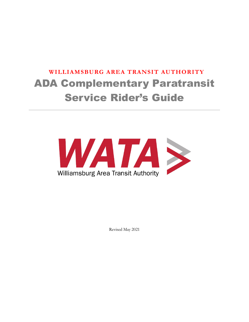# **WILLIAMSBURG AREA TRANSIT AUTHORITY** ADA Complementary Paratransit Service Rider's Guide



Revised May 2021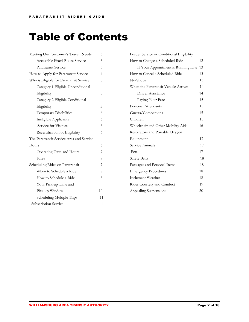# Table of Contents

| Meeting Our Customer's Travel Needs      | 3              |
|------------------------------------------|----------------|
| Accessible Fixed-Route Service           | 3              |
| Paratransit Service                      | 3              |
| How to Apply for Paratransit Service     | $\overline{4}$ |
| Who is Eligible for Paratransit Service  | 5              |
| Category 1 Eligible Unconditional        |                |
| Eligibility                              | 5              |
| Category 2 Eligible Conditional          |                |
| Eligibility                              | 5              |
| Temporary Disabilities                   | 6              |
| Ineligible Applicants                    | 6              |
| Service for Visitors                     | 6              |
| Recertification of Eligibility           | 6              |
| The Paratransit Service Area and Service |                |
| Hours                                    | 6              |
| Operating Days and Hours                 | 7              |
| Fares                                    | 7              |
| Scheduling Rides on Paratransit          | 7              |
| When to Schedule a Ride                  | 7              |
| How to Schedule a Ride                   | 8              |
| Your Pick-up Time and                    |                |
| Pick-up Window                           | 10             |
| Scheduling Multiple Trips                | 11             |
| Subscription Service                     | 11             |

| 12 |
|----|
| 13 |
| 13 |
| 13 |
| 14 |
| 14 |
| 15 |
| 15 |
| 15 |
| 15 |
| 16 |
|    |
| 17 |
| 17 |
| 17 |
| 18 |
| 18 |
| 18 |
| 18 |
| 19 |
| 20 |
|    |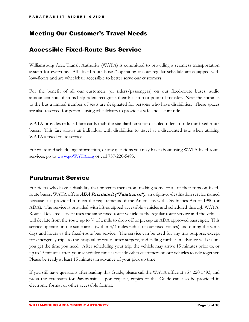# Meeting Our Customer's Travel Needs

# Accessible Fixed-Route Bus Service

Williamsburg Area Transit Authority (WATA) is committed to providing a seamless transportation system for everyone. All "fixed-route buses" operating on our regular schedule are equipped with low-floors and are wheelchair accessible to better serve our customers.

For the benefit of all our customers (or riders/passengers) on our fixed-route buses, audio announcements of stops help riders recognize their bus stop or point of transfer. Near the entrance to the bus a limited number of seats are designated for persons who have disabilities. These spaces are also reserved for persons using wheelchairs to provide a safe and secure ride.

WATA provides reduced-fare cards (half the standard fare) for disabled riders to ride our fixed route buses. This fare allows an individual with disabilities to travel at a discounted rate when utilizing WATA's fixed-route service.

For route and scheduling information, or any questions you may have about using WATA fixed-route services, go to [www.goWATA.org](http://www.gowata.org/) or call 757-220-5493.

# Paratransit Service

For riders who have a disability that prevents them from making some or all of their trips on fixedroute buses, WATA offers ADA Paratransit ("Paratransit"), an origin-to-destination service named because it is provided to meet the requirements of the Americans with Disabilities Act of 1990 (or ADA). The service is provided with lift-equipped accessible vehicles and scheduled through WATA. Route- Deviated service uses the same fixed route vehicle as the regular route service and the vehicle will deviate from the route up to  $\frac{3}{4}$  of a mile to drop off or pickup an ADA approved passenger. This service operates in the same areas (within 3/4 miles radius of our fixed-routes) and during the same days and hours as the fixed-route bus service. The service can be used for any trip purpose, except for emergency trips to the hospital or return after surgery, and calling further in advance will ensure you get the time you need. After scheduling your trip, the vehicle may arrive 15 minutes prior to, or up to 15 minutes after, your scheduled time as we add other customers on our vehicles to ride together. Please be ready at least 15 minutes in advance of your pick up time..

If you still have questions after reading this Guide, please call the WATA office at 757-220-5493, and press the extension for Paratransit. Upon request, copies of this Guide can also be provided in electronic format or other accessible format.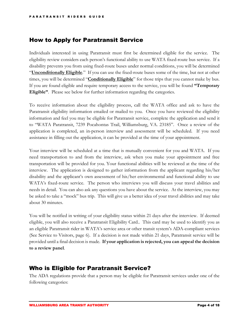# How to Apply for Paratransit Service

Individuals interested in using Paratransit must first be determined eligible for the service. The eligibility review considers each person's functional ability to use WATA fixed-route bus service. If a disability prevents you from using fixed-route buses under normal conditions, you will be determined "**Unconditionally Eligible**." If you can use the fixed-route buses some of the time, but not at other times, you will be determined "**Conditionally Eligible**" for those trips that you cannot make by bus. If you are found eligible and require temporary access to the service, you will be found **"Temporary Eligible"**. Please see below for further information regarding the categories.

To receive information about the eligibility process, call the WATA office and ask to have the Paratransit eligibility information emailed or mailed to you. Once you have reviewed the eligibility information and feel you may be eligible for Paratransit service, complete the application and send it to "WATA Paratransit, 7239 Pocahontas Trail, Williamsburg, VA. 23185". Once a review of the application is completed, an in-person interview and assessment will be scheduled. If you need assistance in filling out the application, it can be provided at the time of your appointment.

Your interview will be scheduled at a time that is mutually convenient for you and WATA. If you need transportation to and from the interview, ask when you make your appointment and free transportation will be provided for you. Your functional abilities will be reviewed at the time of the interview. The application is designed to gather information from the applicant regarding his/her disability and the applicant's own assessment of his/her environmental and functional ability to use WATA's fixed-route service. The person who interviews you will discuss your travel abilities and needs in detail. You can also ask any questions you have about the service. At the interview, you may be asked to take a "mock" bus trip. This will give us a better idea of your travel abilities and may take about 30 minutes.

You will be notified in writing of your eligibility status within 21 days after the interview. If deemed eligible, you will also receive a Paratransit Eligibility Card.. This card may be used to identify you as an eligible Paratransit rider in WATA's service area or other transit system's ADA-compliant services (See Service to Visitors, page 6). If a decision is not made within 21 days, Paratransit service will be provided until a final decision is made. **If your application is rejected, you can appeal the decision to a review panel**.

# Who is Eligible for Paratransit Service?

The ADA regulations provide that a person may be eligible for Paratransit services under one of the following categories: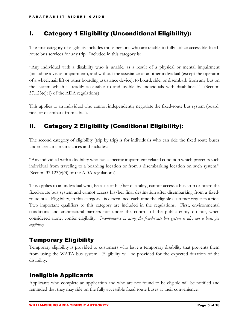# I. Category 1 Eligibility (Unconditional Eligibility):

The first category of eligibility includes those persons who are unable to fully utilize accessible fixedroute bus services for any trip. Included in this category is:

"Any individual with a disability who is unable, as a result of a physical or mental impairment (including a vision impairment), and without the assistance of another individual (except the operator of a wheelchair lift or other boarding assistance device), to board, ride, or disembark from any bus on the system which is readily accessible to and usable by individuals with disabilities." (Section 37.123(e)(1) of the ADA regulations)

This applies to an individual who cannot independently negotiate the fixed-route bus system (board, ride, or disembark from a bus).

# II. Category 2 Eligibility (Conditional Eligibility):

The second category of eligibility (trip by trip) is for individuals who can ride the fixed route buses under certain circumstances and includes:

"Any individual with a disability who has a specific impairment-related condition which prevents such individual from traveling to a boarding location or from a disembarking location on such system." (Section 37.123(e)(3) of the ADA regulations).

This applies to an individual who, because of his/her disability, cannot access a bus stop or board the fixed-route bus system and cannot access his/her final destination after disembarking from a fixedroute bus. Eligibility, in this category, is determined each time the eligible customer requests a ride. Two important qualifiers to this category are included in the regulations. First, environmental conditions and architectural barriers not under the control of the public entity do not, when considered alone, confer eligibility. *Inconvenience in using the fixed-route bus system is also not a basis for eligibility*

# Temporary Eligibility

Temporary eligibility is provided to customers who have a temporary disability that prevents them from using the WATA bus system. Eligibility will be provided for the expected duration of the disability.

# Ineligible Applicants

Applicants who complete an application and who are not found to be eligible will be notified and reminded that they may ride on the fully accessible fixed route buses at their convenience.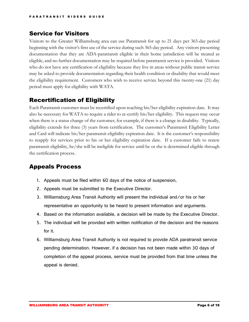# Service for Visitors

Visitors to the Greater Williamsburg area can use Paratransit for up to 21 days per 365-day period beginning with the visitor's first use of the service during such 365-day period. Any visitors presenting documentation that they are ADA-paratransit eligible in their home jurisdiction will be treated as eligible, and no further documentation may be required before paratransit service is provided. Visitors who do not have any certification of eligibility because they live in areas without public transit service may be asked to provide documentation regarding their health condition or disability that would meet the eligibility requirement. Customers who wish to receive service beyond this twenty-one (21) day period must apply for eligibility with WATA.

# Recertification of Eligibility

Each Paratransit customer must be recertified upon reaching his/her eligibility expiration date. It may also be necessary for WATA to require a rider to re-certify his/her eligibility. This request may occur when there is a status change of the customer, for example, if there is a change in disability. Typically, eligibility extends for three (3) years from certification. The customer's Paratransit Eligibility Letter and Card will indicate his/her paratransit eligibility expiration date. It is the customer's responsibility to reapply for services prior to his or her eligibility expiration date. If a customer fails to renew paratransit eligibility, he/she will be ineligible for service until he or she is determined eligible through the certification process.

### Appeals Process

- 1. Appeals must be filed within 60 days of the notice of suspension,
- 2. Appeals must be submitted to the Executive Director.
- 3. Williamsburg Area Transit Authority will present the individual and/or his or her representative an opportunity to be heard to present information and arguments.
- 4. Based on the information available, a decision will be made by the Executive Director.
- 5. The individual will be provided with written notification of the decision and the reasons for it.
- 6. Williamsburg Area Transit Authority is not required to provide ADA paratransit service pending determination. However, if a decision has not been made within 30 days of completion of the appeal process, service must be provided from that time unless the appeal is denied.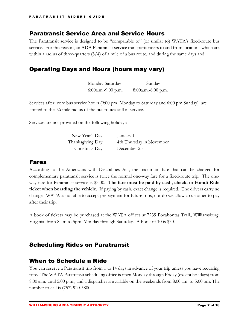#### Paratransit Service Area and Service Hours

The Paratransit service is designed to be "comparable to" (or similar to) WATA's fixed-route bus service. For this reason, an ADA Paratransit service transports riders to and from locations which are within a radius of three-quarters (3/4) of a mile of a bus route, and during the same days and

## Operating Days and Hours (hours may vary)

| Monday-Saturday      | Sunday             |
|----------------------|--------------------|
| $6:00a.m.-9:00 p.m.$ | 8:00a.m.-6:00 p.m. |

Services after core bus service hours (9:00 pm Monday to Saturday and 6:00 pm Sunday) are limited to the ¾ mile radius of the bus routes still in service.

Services are not provided on the following holidays:

| New Year's Day   | January 1                |
|------------------|--------------------------|
| Thanksgiving Day | 4th Thursday in November |
| Christmas Day    | December 25              |

#### Fares

According to the Americans with Disabilities Act, the maximum fare that can be charged for complementary paratransit service is twice the normal one-way fare for a fixed-route trip. The oneway fare for Paratransit service is \$3.00. **The fare must be paid by cash, check, or Handi-Ride ticket when boarding the vehicle**. If paying by cash, exact change is required. The drivers carry no change. WATA is not able to accept prepayment for future trips, nor do we allow a customer to pay after their trip.

A book of tickets may be purchased at the WATA offices at 7239 Pocahontas Trail., Williamsburg, Virginia, from 8 am to 5pm, Monday through Saturday. A book of 10 is \$30.

#### Scheduling Rides on Paratransit

#### When to Schedule a Ride

You can reserve a Paratransit trip from 1 to 14 days in advance of your trip unless you have recurring trips. The WATA Paratransit scheduling office is open Monday through Friday (except holidays) from 8:00 a.m. until 5:00 p.m., and a dispatcher is available on the weekends from 8:00 am. to 5:00 pm. The number to call is (757) 920-5800.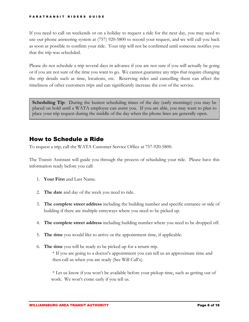#### PARATRANSIT RIDERS GUIDE

If you need to call on weekends or on a holiday to request a ride for the next day, you may need to use our phone answering system at (757) 920-5800 to record your request, and we will call you back as soon as possible to confirm your ride. Your trip will not be confirmed until someone notifies you that the trip was scheduled.

Please do not schedule a trip several days in advance if you are not sure if you will actually be going or if you are not sure of the time you want to go. We cannot guarantee any trips that require changing the trip details such as time, locations, etc. Reserving rides and cancelling them can affect the timeliness of other customers trips and can significantly increase the cost of the service.

**Scheduling Tip**: During the busiest scheduling times of the day (early mornings) you may be placed on hold until a WATA employee can assist you. If you are able, you may want to plan to place your trip request during the middle of the day when the phone lines are generally open.

### How to Schedule a Ride

To request a trip, call the WATA Customer Service Office at 757-920-5800.

The Transit Assistant will guide you through the process of scheduling your ride. Please have this information ready before you call:

- 1. **Your First** and Last Name.
- 2. **The date** and day of the week you need to ride.
- 3. **The complete street address** including the building number and specific entrance or side of building if there are multiple entryways where you need to be picked up.
- 4. **The complete street address** including building number where you need to be dropped off.
- 5. **The time** you would like to arrive or the appointment time, if applicable.
- 6. **The time** you will be ready to be picked up for a return trip. \* If you are going to a doctor's appointment you can tell us an approximate time and then call us when you are ready (See Will Call's).

 \* Let us know if you won't be available before your pickup time, such as getting out of work. We won't come early if you tell us.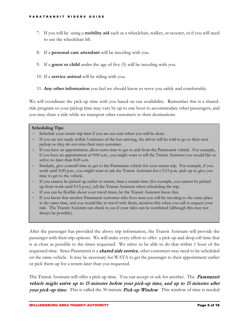- 7. If you will be using a **mobility aid** such as a wheelchair, walker, or scooter, or if you will need to use the wheelchair lift.
- 8. If a **personal care attendant** will be traveling with you.
- 9. If a **guest or child** under the age of five (5) will be traveling with you.
- 10. If a **service animal** will be riding with you.
- 11. **Any other information** you feel we should know to serve you safely and comfortably.

We will coordinate the pick-up time with you based on our availability. Remember this is a sharedride program so your pickup time may vary by up to one hour to accommodate other passengers, and you may share a ride while we transport other customers to their destinations.

#### **Scheduling Tips**:

- Schedule your return trip later if you are not sure when you will be done.
- − If you are not ready within 5 minutes of the bus arriving, the driver will be told to go to their next pickup so they do not miss their next customer.
- If you have an appointment, allow extra time to get to and from the Paratransit vehicle. For example, if you have an appointment at 9:00 a.m., you might want to tell the Transit Assistant you would like to arrive no later than 8:45 a.m.
- Similarly, give yourself time to get to the Paratransit vehicle for your return trip. For example, if you work until 5:00 p.m., you might want to ask the Transit Assistant for a 5:15 p.m. pick-up to give you time to get to the vehicle.
- If you cannot be picked up earlier to return, than a certain time (for example, you cannot be picked up from work until 5:15 p.m.), tell the Transit Assistant when scheduling the trip.
- − If you can be flexible about your travel times, let the Transit Assistant know this.
- − If you know that another Paratransit customer who lives near you will be traveling to the same place at the same time, and you would like to travel with them, mention this when you call to request your ride. The Transit Assistant can check to see if your rides can be combined (although this may not always be possible).

After the passenger has provided the above trip information, the Transit Assistant will provide the passenger with their trip options. We will make every effort to offer a pick-up and drop-off time that is as close as possible to the times requested. We strive to be able to do that within 1 hour of the requested time. Since Paratransit is a *shared-ride service*, other customers may need to be scheduled on the same vehicle. It may be necessary for WATA to get the passenger to their appointment earlier or pick them up for a return later than you requested.

The Transit Assistant will offer a pick-up time. You can accept or ask for another. The *Paratransit* vehicle might arrive up to 15 minutes before your pick-up time, and up to 15 minutes after your pick-up time. This is called the 30-minute Pick-up Window*.* This window of time is needed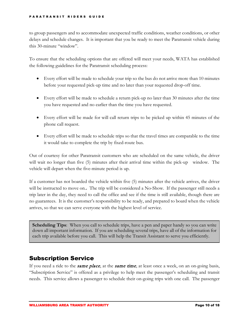to group passengers and to accommodate unexpected traffic conditions, weather conditions, or other delays and schedule changes. It is important that you be ready to meet the Paratransit vehicle during this 30-minute "window".

To ensure that the scheduling options that are offered will meet your needs, WATA has established the following guidelines for the Paratransit scheduling process:

- Every effort will be made to schedule your trip so the bus do not arrive more than 10 minutes before your requested pick-up time and no later than your requested drop-off time.
- Every effort will be made to schedule a return pick-up no later than 30 minutes after the time you have requested and no earlier than the time you have requested.
- Every effort will be made for will call return trips to be picked up within 45 minutes of the phone call request.
- Every effort will be made to schedule trips so that the travel times are comparable to the time it would take to complete the trip by fixed-route bus.

Out of courtesy for other Paratransit customers who are scheduled on the same vehicle, the driver will wait no longer than five (5) minutes after their arrival time within the pick-up window. The vehicle will depart when the five-minute period is up.

If a customer has not boarded the vehicle within five (5) minutes after the vehicle arrives, the driver will be instructed to move on.**.** The trip will be considered a No-Show. If the passenger still needs a trip later in the day, they need to call the office and see if the time is still available, though there are no guarantees. It is the customer's responsibility to be ready, and prepared to board when the vehicle arrives, so that we can serve everyone with the highest level of service.

**Scheduling Tips**: When you call to schedule trips, have a pen and paper handy so you can write down all important information. If you are scheduling several trips, have all of the information for each trip available before you call. This will help the Transit Assistant to serve you efficiently.

### Subscription Service

If you need a ride to the *same place*, at the *same time*, at least once a week, on an on-going basis, "Subscription Service" is offered as a privilege to help meet the passenger's scheduling and transit needs. This service allows a passenger to schedule their on-going trips with one call. The passenger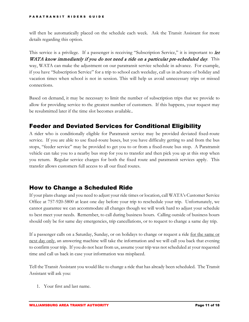will then be automatically placed on the schedule each week. Ask the Transit Assistant for more details regarding this option.

This service is a privilege. If a passenger is receiving "Subscription Service," it is important to *let* WATA know immediately if you do not need a ride on a particular pre-scheduled day. This way, WATA can make the adjustment on our paratransit service schedule in advance. For example, if you have "Subscription Service" for a trip to school each weekday, call us in advance of holiday and vacation times when school is not in session. This will help us avoid unnecessary trips or missed connections.

Based on demand, it may be necessary to limit the number of subscription trips that we provide to allow for providing service to the greatest number of customers. If this happens, your request may be resubmitted later if the time slot becomes available..

# Feeder and Deviated Services for Conditional Eligibility

A rider who is conditionally eligible for Paratransit service may be provided deviated fixed-route service. If you are able to use fixed-route buses, but you have difficulty getting to and from the bus stops, "feeder service" may be provided to get you to or from a fixed-route bus stop. A Paratransit vehicle can take you to a nearby bus stop for you to transfer and then pick you up at this stop when you return. Regular service charges for both the fixed route and paratransit services apply. This transfer allows customers full access to all our fixed routes.

### How to Change a Scheduled Ride

If your plans change and you need to adjust your ride times or location, call WATA's Customer Service Office at 757-920-5800 at least one day before your trip to reschedule your trip. Unfortunately, we cannot guarantee we can accommodate all changes though we will work hard to adjust your schedule to best meet your needs. Remember, to call during business hours. Calling outside of business hours should only be for same day emergencies, trip cancellations, or to request to change a same day trip.

If a passenger calls on a Saturday, Sunday, or on holidays to change or request a ride for the same or next day only, an answering machine will take the information and we will call you back that evening to confirm your trip. If you do not hear from us, assume your trip was not scheduled at your requested time and call us back in case your information was misplaced.

Tell the Transit Assistant you would like to change a ride that has already been scheduled. The Transit Assistant will ask you:

1. Your first and last name.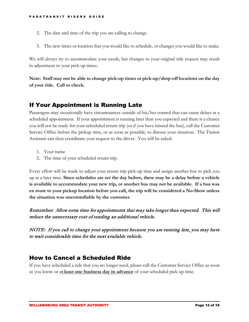- 2. The date and time of the trip you are calling to change.
- 3. The new times or location that you would like to schedule, or changes you would like to make.

We will always try to accommodate your needs, but changes to your original ride request may result in adjustment to your pick-up times.

**Note: Staff may not be able to change pick-up times or pick-up/drop-off locations on the day of your ride. Call to check.**

### If Your Appointment is Running Late

Passengers may occasionally have circumstances outside of his/her control that can cause delays at a scheduled appointment. If your appointment is running later than you expected and there is a chance you will not be ready for your scheduled return trip (or if you have missed the bus), call the Customer Service Office before the pickup time, or as soon as possible, to discuss your situation. The Transit Assistant can then coordinate your request to the driver. You will be asked:

- 1. Your name
- 2. The time of your scheduled return trip.

Every effort will be made to adjust your return trip pick-up time and assign another bus to pick you up at a later time. **Since schedules are set the day before, there may be a delay before a vehicle is available to accommodate your new trip, or another bus may not be available. If a bus was en route to your pickup location before you call, the trip will be considered a No-Show unless the situation was uncontrollable by the customer.**

Remember: Allow extra time for appointments that may take longer than expected. This will reduce the unnecessary cost of sending an additional vehicle.

NOTE: If you call to change your appointment because you are running late, you may have to wait considerable time for the next available vehicle.

### How to Cancel a Scheduled Ride

If you have scheduled a ride that you no longer need, please call the Customer Service Office as soon as you know or a**t least one business day in advance** of your scheduled pick-up time.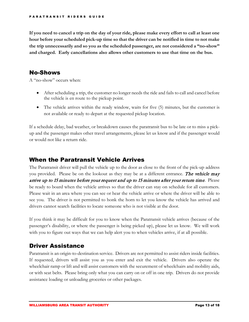**If you need to cancel a trip on the day of your ride, please make every effort to call at least one hour before your scheduled pick-up time so that the driver can be notified in time to not make the trip unnecessarily and so you as the scheduled passenger, are not considered a "no-show" and charged. Early cancellations also allows other customers to use that time on the bus.**

#### No-Shows

A "no-show" occurs when:

- After scheduling a trip, the customer no longer needs the ride and fails to call and cancel before the vehicle is en route to the pickup point.
- The vehicle arrives within the ready window, waits for five (5) minutes, but the customer is not available or ready to depart at the requested pickup location.

If a schedule delay, bad weather, or breakdown causes the paratransit bus to be late or to miss a pickup and the passenger makes other travel arrangements, please let us know and if the passenger would or would not like a return ride.

#### When the Paratransit Vehicle Arrives

The Paratransit driver will pull the vehicle up to the door as close to the front of the pick-up address you provided. Please be on the lookout as they may be at a different entrance. The vehicle may arrive up to 15 minutes before your request and up to 15 minutes after your return time. Please be ready to board when the vehicle arrives so that the driver can stay on schedule for all customers. Please wait in an area where you can see or hear the vehicle arrive or where the driver will be able to see you. The driver is not permitted to honk the horn to let you know the vehicle has arrived and drivers cannot search facilities to locate someone who is not visible at the door.

If you think it may be difficult for you to know when the Paratransit vehicle arrives (because of the passenger's disability, or where the passenger is being picked up), please let us know. We will work with you to figure out ways that we can help alert you to when vehicles arrive, if at all possible.

### Driver Assistance

Paratransit is an origin-to-destination service. Drivers are not permitted to assist riders inside facilities. If requested, drivers will assist you as you enter and exit the vehicle. Drivers also operate the wheelchair ramp or lift and will assist customers with the securement of wheelchairs and mobility aids, or with seat belts. Please bring only what you can carry on or off in one trip. Drivers do not provide assistance loading or unloading groceries or other packages.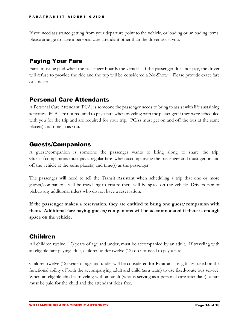If you need assistance getting from your departure point to the vehicle, or loading or unloading items, please arrange to have a personal care attendant other than the driver assist you.

# Paying Your Fare

Fares must be paid when the passenger boards the vehicle. If the passenger does not pay, the driver will refuse to provide the ride and the trip will be considered a No-Show. Please provide exact fare or a ticket.

### Personal Care Attendants

A Personal Care Attendant (PCA) is someone the passenger needs to bring to assist with life sustaining activities. PCAs are not required to pay a fare when traveling with the passenger if they were scheduled with you for the trip and are required for your trip. PCAs must get on and off the bus at the same place(s) and time(s) as you.

# Guests/Companions

A guest/companion is someone the passenger wants to bring along to share the trip. Guests/companions must pay a regular fare when accompanying the passenger and must get on and off the vehicle at the same place(s) and time(s) as the passenger.

The passenger will need to tell the Transit Assistant when scheduling a trip that one or more guests/companions will be travelling to ensure there will be space on the vehicle. Drivers cannot pickup any additional riders who do not have a reservation.

**If the passenger makes a reservation, they are entitled to bring one guest/companion with them. Additional fare paying guests/companions will be accommodated if there is enough space on the vehicle.**

# Children

All children twelve (12) years of age and under, must be accompanied by an adult. If traveling with an eligible fare-paying adult, children under twelve (12) do not need to pay a fare.

Children twelve (12) years of age and under will be considered for Paratransit eligibility based on the functional ability of both the accompanying adult and child (as a team) to use fixed-route bus service. When an eligible child is traveling with an adult (who is serving as a personal care attendant), a fare must be paid for the child and the attendant rides free.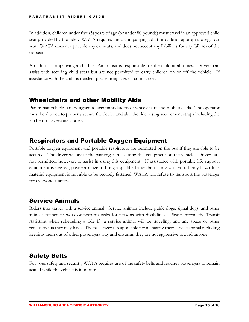#### PARATRANSIT RIDERS GUIDE

In addition, children under five (5) years of age (or under 80 pounds) must travel in an approved child seat provided by the rider. WATA requires the accompanying adult provide an appropriate legal car seat. WATA does not provide any car seats, and does not accept any liabilities for any failures of the car seat.

An adult accompanying a child on Paratransit is responsible for the child at all times. Drivers can assist with securing child seats but are not permitted to carry children on or off the vehicle. If assistance with the child is needed, please bring a guest companion.

### Wheelchairs and other Mobility Aids

Paratransit vehicles are designed to accommodate most wheelchairs and mobility aids. The operator must be allowed to properly secure the device and also the rider using securement straps including the lap belt for everyone's safety.

#### Respirators and Portable Oxygen Equipment

Portable oxygen equipment and portable respirators are permitted on the bus if they are able to be secured. The driver will assist the passenger in securing this equipment on the vehicle. Drivers are not permitted, however, to assist in using this equipment. If assistance with portable life support equipment is needed, please arrange to bring a qualified attendant along with you. If any hazardous material equipment is not able to be securely fastened, WATA will refuse to transport the passenger for everyone's safety.

# Service Animals

Riders may travel with a service animal. Service animals include guide dogs, signal dogs, and other animals trained to work or perform tasks for persons with disabilities. Please inform the Transit Assistant when scheduling a ride if a service animal will be traveling, and any space or other requirements they may have. The passenger is responsible for managing their service animal including keeping them out of other passengers way and ensuring they are not aggressive toward anyone.

# Safety Belts

For your safety and security, WATA requires use of the safety belts and requires passengers to remain seated while the vehicle is in motion.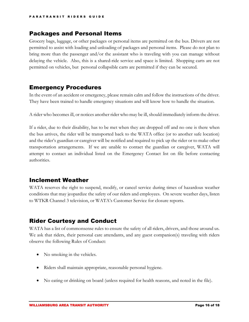#### Packages and Personal Items

Grocery bags, luggage, or other packages or personal items are permitted on the bus. Drivers are not permitted to assist with loading and unloading of packages and personal items. Please do not plan to bring more than the passenger and/or the assistant who is traveling with you can manage without delaying the vehicle. Also, this is a shared-ride service and space is limited. Shopping carts are not permitted on vehicles, but personal collapsible carts are permitted if they can be secured.

#### Emergency Procedures

In the event of an accident or emergency, please remain calm and follow the instructions of the driver. They have been trained to handle emergency situations and will know how to handle the situation.

A rider who becomes ill, or notices another rider who may be ill, should immediately inform the driver.

If a rider, due to their disability, has to be met when they are dropped off and no one is there when the bus arrives, the rider will be transported back to the WATA office (or to another safe location) and the rider's guardian or caregiver will be notified and required to pick up the rider or to make other transportation arrangements. If we are unable to contact the guardian or caregiver, WATA will attempt to contact an individual listed on the Emergency Contact list on file before contacting authorities.

#### Inclement Weather

WATA reserves the right to suspend, modify, or cancel service during times of hazardous weather conditions that may jeopardize the safety of our riders and employees. On severe weather days, listen to WTKR Channel 3 television, or WATA's Customer Service for closure reports.

# Rider Courtesy and Conduct

WATA has a list of commonsense rules to ensure the safety of all riders, drivers, and those around us. We ask that riders, their personal care attendants, and any guest companion(s) traveling with riders observe the following Rules of Conduct:

- No smoking in the vehicles.
- Riders shall maintain appropriate, reasonable personal hygiene.
- No eating or drinking on board (unless required for health reasons, and noted in the file).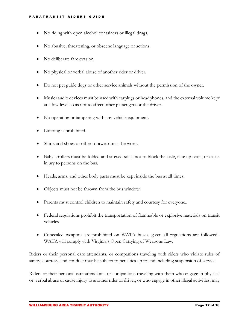- No riding with open alcohol containers or illegal drugs.
- No abusive, threatening, or obscene language or actions.
- No deliberate fare evasion.
- No physical or verbal abuse of another rider or driver.
- Do not pet guide dogs or other service animals without the permission of the owner.
- Music/audio devices must be used with earplugs or headphones, and the external volume kept at a low level so as not to affect other passengers or the driver.
- No operating or tampering with any vehicle equipment.
- Littering is prohibited.
- Shirts and shoes or other footwear must be worn.
- Baby strollers must be folded and stowed so as not to block the aisle, take up seats, or cause injury to persons on the bus.
- Heads, arms, and other body parts must be kept inside the bus at all times.
- Objects must not be thrown from the bus window.
- Parents must control children to maintain safety and courtesy for everyone..
- Federal regulations prohibit the transportation of flammable or explosive materials on transit vehicles.
- Concealed weapons are prohibited on WATA buses, given all regulations are followed.. WATA will comply with Virginia's Open Carrying of Weapons Law.

Riders or their personal care attendants, or companions traveling with riders who violate rules of safety, courtesy, and conduct may be subject to penalties up to and including suspension of service.

Riders or their personal care attendants, or companions traveling with them who engage in physical or verbal abuse or cause injury to another rider or driver, or who engage in other illegal activities, may